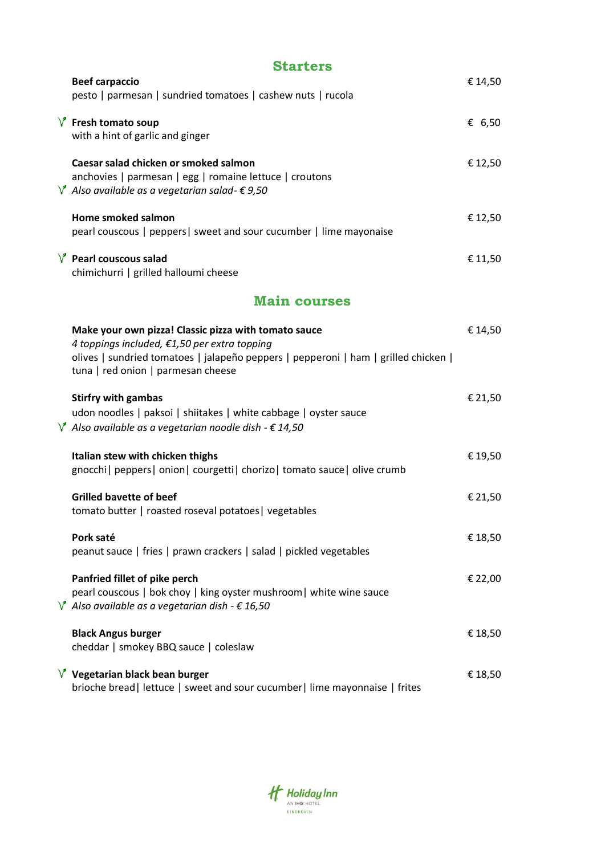| <b>Starters</b>                                                                                                                                                                                                                   |         |
|-----------------------------------------------------------------------------------------------------------------------------------------------------------------------------------------------------------------------------------|---------|
| <b>Beef carpaccio</b><br>pesto   parmesan   sundried tomatoes   cashew nuts   rucola                                                                                                                                              | € 14,50 |
| $\sqrt{\ }$ Fresh tomato soup<br>with a hint of garlic and ginger                                                                                                                                                                 | € 6,50  |
| Caesar salad chicken or smoked salmon<br>anchovies   parmesan   egg   romaine lettuce   croutons<br>$\sqrt{\ }$ Also available as a vegetarian salad- $\epsilon$ 9,50                                                             | € 12,50 |
| Home smoked salmon<br>pearl couscous   peppers   sweet and sour cucumber   lime mayonaise                                                                                                                                         | € 12,50 |
| $V$ Pearl couscous salad<br>chimichurri   grilled halloumi cheese                                                                                                                                                                 | € 11,50 |
| <b>Main courses</b>                                                                                                                                                                                                               |         |
| Make your own pizza! Classic pizza with tomato sauce<br>4 toppings included, €1,50 per extra topping<br>olives   sundried tomatoes   jalapeño peppers   pepperoni   ham   grilled chicken  <br>tuna   red onion   parmesan cheese | € 14,50 |
| <b>Stirfry with gambas</b><br>udon noodles   paksoi   shiitakes   white cabbage   oyster sauce<br>$\sqrt{\ }$ Also available as a vegetarian noodle dish - $\epsilon$ 14,50                                                       | € 21,50 |
| Italian stew with chicken thighs<br>gnocchi   peppers   onion   courgetti   chorizo   tomato sauce   olive crumb                                                                                                                  | € 19,50 |
| <b>Grilled bavette of beef</b><br>tomato butter   roasted roseval potatoes   vegetables                                                                                                                                           | € 21,50 |
| Pork saté<br>peanut sauce   fries   prawn crackers   salad   pickled vegetables                                                                                                                                                   | € 18,50 |
| Panfried fillet of pike perch<br>pearl couscous   bok choy   king oyster mushroom   white wine sauce<br>$\sqrt{\ }$ Also available as a vegetarian dish - $\epsilon$ 16,50                                                        | € 22,00 |
| <b>Black Angus burger</b><br>cheddar   smokey BBQ sauce   coleslaw                                                                                                                                                                | € 18,50 |
| $\sqrt{\ }$ Vegetarian black bean burger<br>brioche bread   lettuce   sweet and sour cucumber   lime mayonnaise   frites                                                                                                          | € 18,50 |